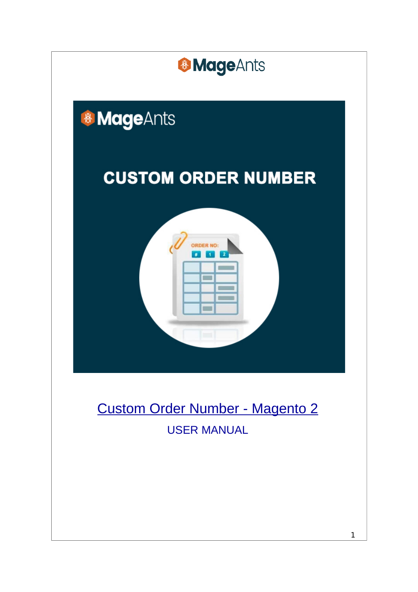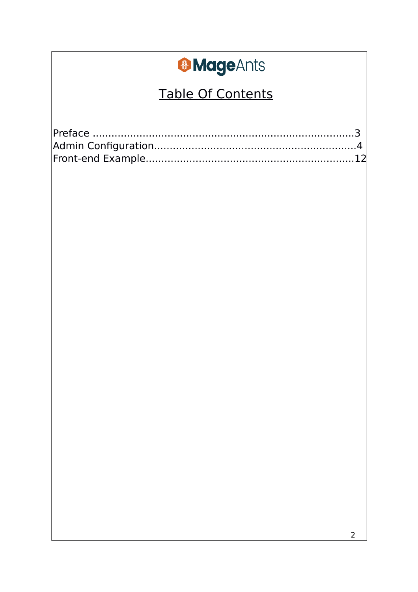### **Table Of Contents**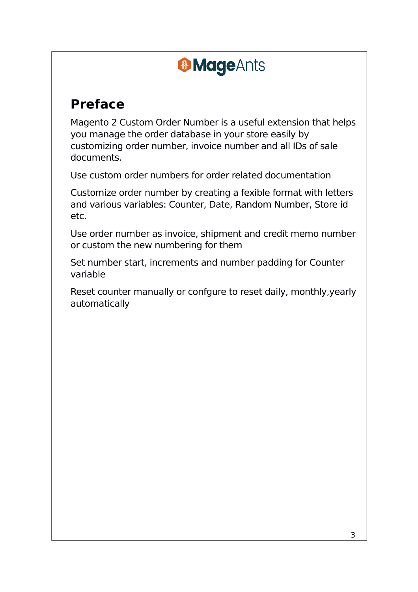#### **Preface**

Magento 2 Custom Order Number is a useful extension that helps you manage the order database in your store easily by customizing order number, invoice number and all IDs of sale documents.

Use custom order numbers for order related documentation

Customize order number by creating a fexible format with letters and various variables: Counter, Date, Random Number, Store id etc.

Use order number as invoice, shipment and credit memo number or custom the new numbering for them

Set number start, increments and number padding for Counter variable

Reset counter manually or confgure to reset daily, monthly,yearly automatically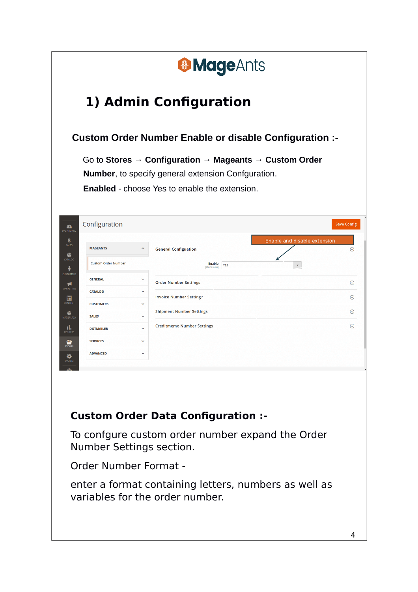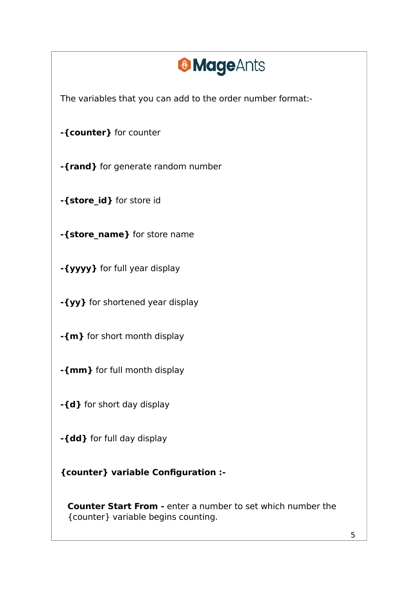The variables that you can add to the order number format:-

**-{counter}** for counter

**-{rand}** for generate random number

**-{store\_id}** for store id

**-{store\_name}** for store name

**-{yyyy}** for full year display

**-{yy}** for shortened year display

**-{m}** for short month display

**-{mm}** for full month display

**-{d}** for short day display

**-{dd}** for full day display

**{counter} variable Configuration :-**

**Counter Start From -** enter a number to set which number the {counter} variable begins counting.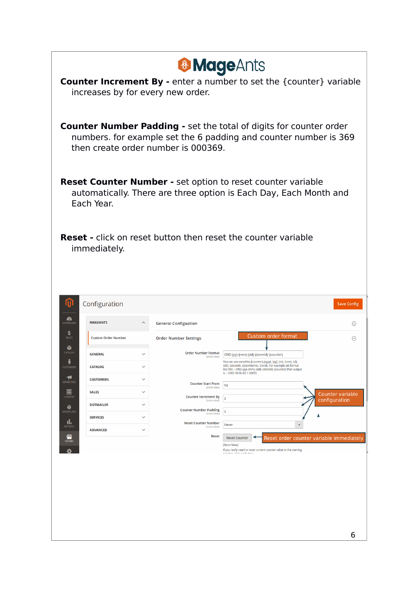| <b>&amp; MageAnts</b><br><b>Counter Increment By - enter a number to set the {counter} variable</b><br>increases by for every new order. |                                  |                              |                                               |                                                                                                                                                               |                                          |  |  |
|------------------------------------------------------------------------------------------------------------------------------------------|----------------------------------|------------------------------|-----------------------------------------------|---------------------------------------------------------------------------------------------------------------------------------------------------------------|------------------------------------------|--|--|
|                                                                                                                                          |                                  |                              | then create order number is 000369.           | <b>Counter Number Padding - set the total of digits for counter order</b><br>numbers. for example set the 6 padding and counter number is 369                 |                                          |  |  |
|                                                                                                                                          | Each Year.                       |                              |                                               | <b>Reset Counter Number - set option to reset counter variable</b><br>automatically. There are three option is Each Day, Each Month and                       |                                          |  |  |
|                                                                                                                                          | immediately.                     |                              |                                               | <b>Reset</b> - click on reset button then reset the counter variable                                                                                          |                                          |  |  |
| M                                                                                                                                        | Configuration                    |                              |                                               |                                                                                                                                                               |                                          |  |  |
| £A                                                                                                                                       |                                  |                              |                                               |                                                                                                                                                               | <b>Save Config</b>                       |  |  |
| DASHBOARD<br>S                                                                                                                           | <b>MAGEANTS</b>                  |                              | <b>General Configuation</b>                   |                                                                                                                                                               | $\odot$                                  |  |  |
| SALES<br>Ŵ                                                                                                                               | <b>Custom Order Number</b>       |                              | <b>Order Number Settings</b>                  | Custom order format                                                                                                                                           | $\odot$                                  |  |  |
| CATALOG                                                                                                                                  | <b>GENERAL</b>                   |                              | <b>Order Number Format</b><br>[store view]    | ORD-{yy}-{mm}-{dd}-{storeId}-{counter}<br>You can use variables {counter}, {yyyy}, {yy}, {m}, {mm}, {d},                                                      |                                          |  |  |
| <b>CUSTOMERS</b>                                                                                                                         | <b>CATALOG</b>                   | $\checkmark$                 |                                               | {dd}, {storeId}, {storeName}, {rand}. For example set format<br>like this :- ORD-{yy}-(mm)-{dd}-{storeId}-(counter) then output<br>is :- ORD-18-06-03-1-00055 |                                          |  |  |
| Ч<br>MARKETING                                                                                                                           | <b>CUSTOMERS</b>                 | $\checkmark$                 | <b>Counter Start From</b><br>[store view]     | 50                                                                                                                                                            |                                          |  |  |
| 同<br>CONTENT                                                                                                                             | <b>SALES</b><br><b>DOTMAILER</b> | $\checkmark$<br>$\checkmark$ | <b>Counter Increment By</b><br>[store view]   | 5                                                                                                                                                             | <b>Counter variable</b><br>configuration |  |  |
| Ŵ<br>MAGEPLAZA                                                                                                                           | <b>SERVICES</b>                  | $\checkmark$                 | <b>Counter Number Padding</b><br>[store view] | 5                                                                                                                                                             | A                                        |  |  |
| ıl,<br><b>REPORTS</b>                                                                                                                    | <b>ADVANCED</b>                  | $\checkmark$                 | <b>Reset Counter Number</b><br>[store view]   | Never<br>$\blacktriangledown$                                                                                                                                 |                                          |  |  |
| ▥<br><b>STORES</b>                                                                                                                       |                                  |                              | <b>Reset</b>                                  | <b>Reset Counter</b><br>[Store View]                                                                                                                          | Reset order counter variable immediately |  |  |
|                                                                                                                                          |                                  |                              |                                               | If you really need to reset current counter value to the starting<br>indhoe, click on button                                                                  |                                          |  |  |
|                                                                                                                                          |                                  |                              |                                               |                                                                                                                                                               |                                          |  |  |
|                                                                                                                                          |                                  |                              |                                               |                                                                                                                                                               |                                          |  |  |
|                                                                                                                                          |                                  |                              |                                               |                                                                                                                                                               |                                          |  |  |
|                                                                                                                                          |                                  |                              |                                               |                                                                                                                                                               |                                          |  |  |
|                                                                                                                                          |                                  |                              |                                               |                                                                                                                                                               | 6                                        |  |  |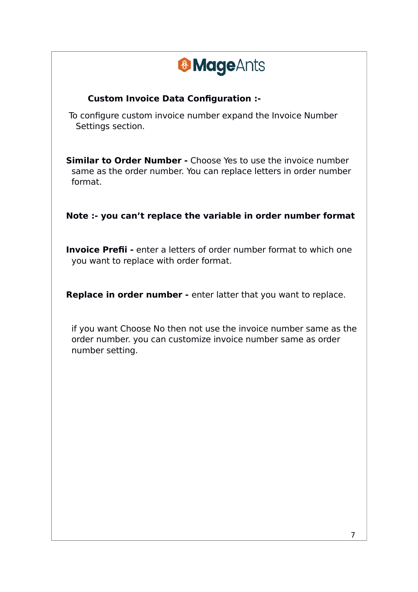#### **Custom Invoice Data Configuration :-**

To configure custom invoice number expand the Invoice Number Settings section.

**Similar to Order Number -** Choose Yes to use the invoice number same as the order number. You can replace letters in order number format.

#### **Note :- you can't replace the variable in order number format**

 **Invoice Prefii -** enter a letters of order number format to which one you want to replace with order format.

**Replace in order number -** enter latter that you want to replace.

if you want Choose No then not use the invoice number same as the order number. you can customize invoice number same as order number setting.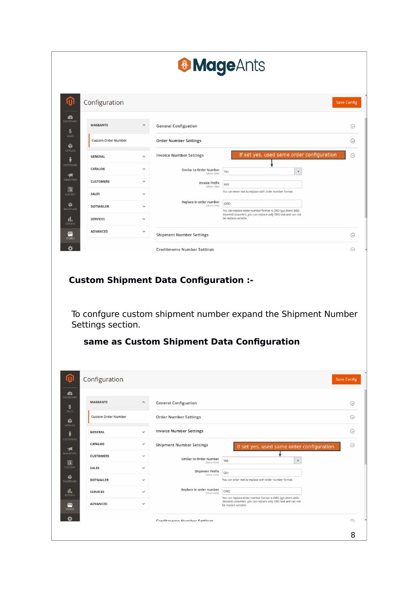|                                               | <b>&amp; MageAnts</b>                                                  |                                                                                                                                     |                    |
|-----------------------------------------------|------------------------------------------------------------------------|-------------------------------------------------------------------------------------------------------------------------------------|--------------------|
| Configuration                                 |                                                                        |                                                                                                                                     | <b>Save Config</b> |
|                                               |                                                                        |                                                                                                                                     |                    |
| <b>MAGEANTS</b>                               | <b>General Configuation</b>                                            |                                                                                                                                     |                    |
| <b>Custom Order Number</b>                    | <b>Order Number Settings</b>                                           |                                                                                                                                     |                    |
| <b>GENERAL</b>                                | <b>Invoice Number Settings</b>                                         | If set yes, used same order configuration                                                                                           |                    |
| <b>CATALOG</b>                                | <b>Similar to Order Number</b><br>[store view]                         | Yes<br>$\blacktriangledown$                                                                                                         |                    |
| <b>CUSTOMERS</b>                              | <b>Invoice Prefix</b><br>[store view]                                  | INV                                                                                                                                 |                    |
| <b>SALES</b>                                  | $\checkmark$                                                           | You can enter text to replace with order number format.                                                                             |                    |
| <b>DOTMAILER</b>                              | Replace in order number<br>[store view]<br>$\checkmark$                | <b>ORD</b><br>You can replace order number format is ORD-(yy)-(mm)-(dd)-                                                            |                    |
| <b>SERVICES</b>                               | $\checkmark$                                                           | {storeId}-{counter}. you can replace only ORD text and can not<br>be replace variable.                                              |                    |
| <b>ADVANCED</b>                               | $\checkmark$<br><b>Shipment Number Settings</b>                        |                                                                                                                                     |                    |
|                                               | <b>Creditmemo Number Settings</b>                                      |                                                                                                                                     |                    |
| Settings section.                             | <b>Custom Shipment Data Configuration :-</b>                           | To confgure custom shipment number expand the Shipment Number                                                                       |                    |
|                                               | same as Custom Shipment Data Configuration                             |                                                                                                                                     |                    |
| Configuration                                 |                                                                        |                                                                                                                                     |                    |
|                                               | $\hat{\phantom{1}}$<br><b>General Configuation</b>                     |                                                                                                                                     |                    |
| <b>MAGEANTS</b><br><b>Custom Order Number</b> | <b>Order Number Settings</b>                                           |                                                                                                                                     |                    |
| <b>GENERAL</b>                                | <b>Invoice Number Settings</b><br>$\checkmark$                         |                                                                                                                                     |                    |
| <b>CATALOG</b>                                | $\checkmark$<br><b>Shipment Number Settings</b>                        | If set yes, used same order configuration                                                                                           |                    |
| <b>CUSTOMERS</b>                              | $\checkmark$<br><b>Similar to Order Number</b>                         | Yes<br>$\mathbf{v}$                                                                                                                 |                    |
| <b>SALES</b>                                  | [store view]<br>$\checkmark$<br><b>Shipment Prefix</b><br>[store view] | SHI                                                                                                                                 |                    |
| <b>DOTMAILER</b>                              | $\checkmark$                                                           | You can enter text to replace with order number format.                                                                             |                    |
| <b>SERVICES</b>                               | Replace in order number<br>$\checkmark$<br>[store view]                | ORD<br>You can replace order number format is ORD-{yy}-{mm}-{dd}-<br>(storeId)-(counter). you can replace only ORD text and can not | <b>Save Config</b> |

8 | 1990 | 1990 | 1990 | 1990 | 1990 | 1990 | 1990 | 1990 | 1990 | 1990 | 1990 | 1990 | 1990 | 1990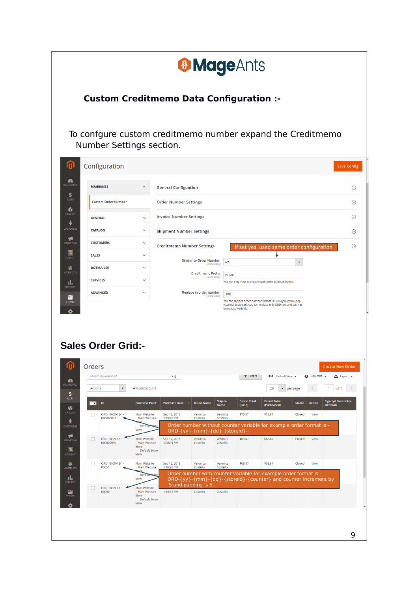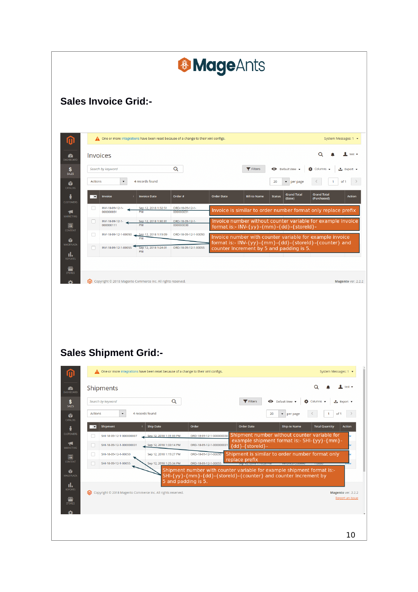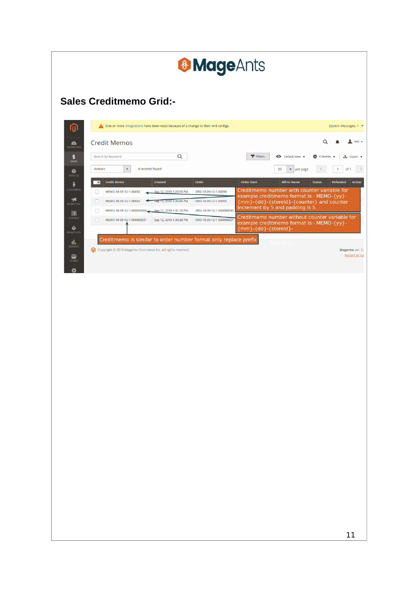|                        |                                                                                                                                 | <b>&amp; MageAnts</b>                                |                                                                                         |                                                  |
|------------------------|---------------------------------------------------------------------------------------------------------------------------------|------------------------------------------------------|-----------------------------------------------------------------------------------------|--------------------------------------------------|
|                        |                                                                                                                                 |                                                      |                                                                                         |                                                  |
|                        |                                                                                                                                 |                                                      |                                                                                         |                                                  |
|                        | <b>Sales Creditmemo Grid:-</b>                                                                                                  |                                                      |                                                                                         |                                                  |
| 何                      | △ One or more integrations have been reset because of a change to their xml configs.                                            |                                                      |                                                                                         | System Messages: 1 -                             |
| $\bullet$<br>DASHBOARD | <b>Credit Memos</b>                                                                                                             |                                                      |                                                                                         | Q<br>test $\star$                                |
| $\mathbf{s}$<br>SALES  | $\alpha$<br>Search by keyword                                                                                                   |                                                      | <b>Filters</b><br>Default View .                                                        | $\bullet$ Columns $\bullet$<br><u>t</u> Export ▼ |
| Ŵ<br>CATALOG           | Actions<br>$\blacktriangledown$<br>4 records found                                                                              |                                                      | 20<br>$\blacktriangleright$ per page                                                    | of 1                                             |
| ÷<br>CUSTOMERS         | <b>Credit Memo</b><br>Created<br>$\overline{\phantom{a}}$<br>MEMO-18-09-12-1-00050<br>Sep 12, 2018 1:23:55 PM                   | Order<br>ORD-18-09-12-1-00050                        | <b>Order Date</b><br><b>Bill-to Name</b><br>Creditmemo number with counter variable for | <b>Status</b><br>Refunded<br>Action              |
| ◀<br>MARKETING         | □<br>$\Box$<br>MEMO-18-09-12-1-00055<br>Sep 12, 2018 1:26:06 PM                                                                 | ORD-18-09-12-1-00055                                 | example creditmemo format is:- MEMO-{yy}-<br>{mm}-{dd}-{storeld}-{counter} and counter  |                                                  |
| 同<br>CONTENT           | $\Box$<br>MEMO-18-09-12-1-000000006<br>Sep 12, 2018 1:31:25 PM<br>□<br>MEMO-18-09-12-1-000000031<br>Sep 12, 2018 1:33:38 PM     | ORD-18-09-12-1-000000030<br>ORD-18-09-12-1-000000031 | Increment by 5 and padding is 5.<br>Creditmemo number without counter variable for      |                                                  |
| Ŵ<br>MAGEPLAZA         |                                                                                                                                 |                                                      | example creditmemo format is:- MEMO-{yy}-<br>{mm}-{dd}-{storeld}-                       |                                                  |
| al.<br><b>REPORTS</b>  | Creditmemo is similar to order number format only replace prefix<br>Copyright © 2018 Magento Commerce Inc. All rights reserved. |                                                      |                                                                                         | Magento ver. 2.                                  |
| 伵<br><b>STORES</b>     |                                                                                                                                 |                                                      |                                                                                         | Report an Iss                                    |
|                        |                                                                                                                                 |                                                      |                                                                                         |                                                  |
|                        |                                                                                                                                 |                                                      |                                                                                         |                                                  |
|                        |                                                                                                                                 |                                                      |                                                                                         |                                                  |
|                        |                                                                                                                                 |                                                      |                                                                                         |                                                  |
|                        |                                                                                                                                 |                                                      |                                                                                         |                                                  |
|                        |                                                                                                                                 |                                                      |                                                                                         |                                                  |
|                        |                                                                                                                                 |                                                      |                                                                                         |                                                  |
|                        |                                                                                                                                 |                                                      |                                                                                         |                                                  |
|                        |                                                                                                                                 |                                                      |                                                                                         |                                                  |
|                        |                                                                                                                                 |                                                      |                                                                                         |                                                  |
|                        |                                                                                                                                 |                                                      |                                                                                         |                                                  |
|                        |                                                                                                                                 |                                                      |                                                                                         |                                                  |
|                        |                                                                                                                                 |                                                      |                                                                                         |                                                  |
|                        |                                                                                                                                 |                                                      |                                                                                         |                                                  |
|                        |                                                                                                                                 |                                                      |                                                                                         |                                                  |
|                        |                                                                                                                                 |                                                      |                                                                                         |                                                  |
|                        |                                                                                                                                 |                                                      |                                                                                         |                                                  |
|                        |                                                                                                                                 |                                                      |                                                                                         |                                                  |
|                        |                                                                                                                                 |                                                      |                                                                                         | 11                                               |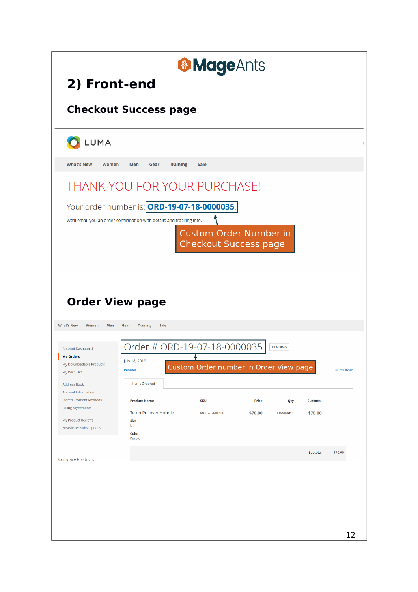